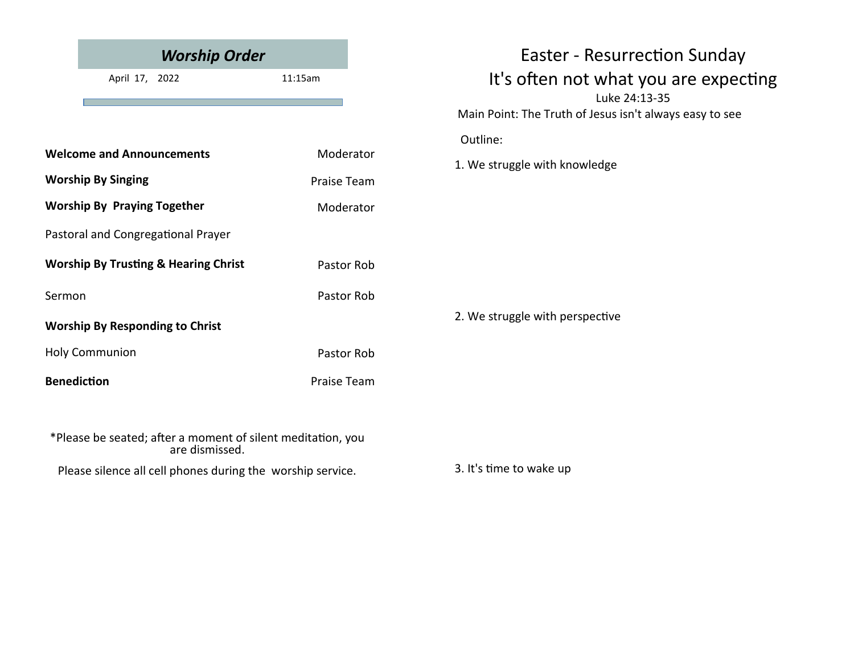|                                                                               | <b>Worship Order</b>                                       |             | <b>Easter - Resurrection Sunday</b>                     |  |
|-------------------------------------------------------------------------------|------------------------------------------------------------|-------------|---------------------------------------------------------|--|
|                                                                               | April 17, 2022                                             | 11:15am     | It's often not what you are expecting<br>Luke 24:13-35  |  |
|                                                                               |                                                            |             | Main Point: The Truth of Jesus isn't always easy to see |  |
|                                                                               |                                                            |             | Outline:                                                |  |
| <b>Welcome and Announcements</b>                                              |                                                            | Moderator   | 1. We struggle with knowledge                           |  |
| <b>Worship By Singing</b>                                                     |                                                            | Praise Team |                                                         |  |
| <b>Worship By Praying Together</b>                                            |                                                            | Moderator   |                                                         |  |
|                                                                               | Pastoral and Congregational Prayer                         |             |                                                         |  |
|                                                                               | <b>Worship By Trusting &amp; Hearing Christ</b>            | Pastor Rob  |                                                         |  |
| Sermon                                                                        |                                                            | Pastor Rob  | 2. We struggle with perspective                         |  |
| <b>Worship By Responding to Christ</b>                                        |                                                            |             |                                                         |  |
| <b>Holy Communion</b>                                                         |                                                            | Pastor Rob  |                                                         |  |
| <b>Benediction</b>                                                            |                                                            | Praise Team |                                                         |  |
|                                                                               |                                                            |             |                                                         |  |
| *Please be seated; after a moment of silent meditation, you<br>are dismissed. |                                                            |             |                                                         |  |
|                                                                               | Please silence all cell phones during the worship service. |             | 3. It's time to wake up                                 |  |